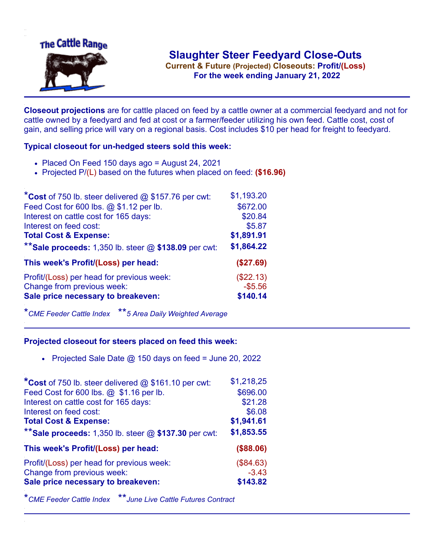

**Current & Future (Projected) Closeouts: Profit/(Loss)** .**For the week ending January 21, 2022**

**Closeout projections** are for cattle placed on feed by a cattle owner at a commercial feedyard and not for cattle owned by a feedyard and fed at cost or a farmer/feeder utilizing his own feed. Cattle cost, cost of gain, and selling price will vary on a regional basis. Cost includes \$10 per head for freight to feedyard.

## **Typical closeout for un-hedged steers sold this week:**

- Placed On Feed 150 days ago = August 24, 2021
- Projected P/(L) based on the futures when placed on feed: **(\$16.96)**

| *Cost of 750 lb. steer delivered $@$ \$157.76 per cwt:  | \$1,193.20 |
|---------------------------------------------------------|------------|
| Feed Cost for 600 lbs. @ \$1.12 per lb.                 | \$672.00   |
| Interest on cattle cost for 165 days:                   | \$20.84    |
| Interest on feed cost:                                  | \$5.87     |
| <b>Total Cost &amp; Expense:</b>                        | \$1,891.91 |
| ** Sale proceeds: 1,350 lb. steer $@$ \$138.09 per cwt: | \$1,864.22 |
| This week's Profit/(Loss) per head:                     | (\$27.69)  |
| Profit/(Loss) per head for previous week:               | (\$22.13)  |
| Change from previous week:                              | $-$5.56$   |
| Sale price necessary to breakeven:                      | \$140.14   |

\**CME Feeder Cattle Index* \*\**5 Area Daily Weighted Average*

## **Projected closeout for steers placed on feed this week:**

• Projected Sale Date  $@$  150 days on feed = June 20, 2022

| *Cost of 750 lb. steer delivered @ \$161.10 per cwt:    | \$1,218,25 |
|---------------------------------------------------------|------------|
| Feed Cost for 600 lbs. @ \$1.16 per lb.                 | \$696.00   |
| Interest on cattle cost for 165 days:                   | \$21.28    |
| Interest on feed cost:                                  | \$6.08     |
| <b>Total Cost &amp; Expense:</b>                        | \$1,941.61 |
| ** Sale proceeds: 1,350 lb. steer $@$ \$137.30 per cwt: | \$1,853.55 |
| This week's Profit/(Loss) per head:                     | (\$88.06)  |
| Profit/(Loss) per head for previous week:               | (\$84.63)  |
| Change from previous week:                              | $-3.43$    |
| Sale price necessary to breakeven:                      | \$143.82   |

\**CME Feeder Cattle Index* \*\**June Live Cattle Futures Contract*